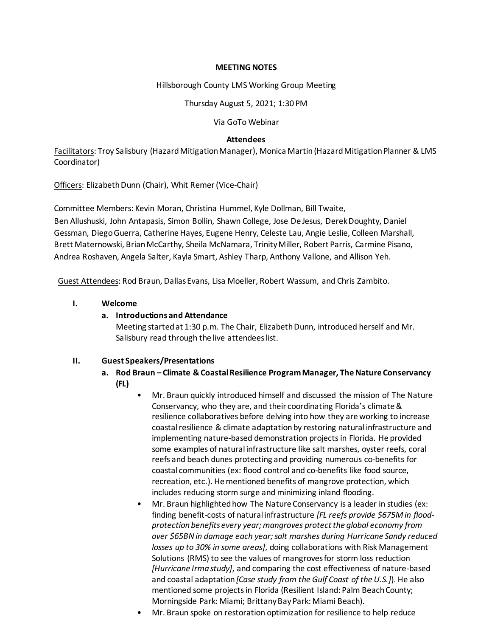#### **MEETING NOTES**

Hillsborough County LMS Working Group Meeting

Thursday August 5, 2021; 1:30 PM

Via GoTo Webinar

### **Attendees**

Facilitators: Troy Salisbury (Hazard Mitigation Manager), Monica Martin (Hazard Mitigation Planner & LMS Coordinator)

Officers: Elizabeth Dunn (Chair), Whit Remer (Vice-Chair)

Committee Members: Kevin Moran, Christina Hummel, Kyle Dollman, Bill Twaite,

Ben Allushuski, John Antapasis, Simon Bollin, Shawn College, Jose De Jesus, Derek Doughty, Daniel Gessman, Diego Guerra, Catherine Hayes, Eugene Henry, Celeste Lau, Angie Leslie, Colleen Marshall, Brett Maternowski, Brian McCarthy, Sheila McNamara, Trinity Miller, Robert Parris, Carmine Pisano, Andrea Roshaven, Angela Salter, Kayla Smart, Ashley Tharp, Anthony Vallone, and Allison Yeh.

Guest Attendees: Rod Braun, Dallas Evans, Lisa Moeller, Robert Wassum, and Chris Zambito.

### **I. Welcome**

## **a. Introductionsand Attendance**

Meeting started at 1:30 p.m. The Chair, Elizabeth Dunn, introduced herself and Mr. Salisbury read through the live attendees list.

### **II. Guest Speakers/Presentations**

- **a. Rod Braun – Climate & Coastal Resilience Program Manager, The Nature Conservancy (FL)**
	- Mr. Braun quickly introduced himself and discussed the mission of The Nature Conservancy, who they are, and their coordinating Florida's climate & resilience collaboratives before delving into how they are working to increase coastal resilience & climate adaptation by restoring natural infrastructure and implementing nature-based demonstration projects in Florida. He provided some examples of natural infrastructure like salt marshes, oyster reefs, coral reefs and beach dunes protecting and providing numerous co-benefits for coastal communities (ex: flood control and co-benefits like food source, recreation, etc.). He mentioned benefits of mangrove protection, which includes reducing storm surge and minimizing inland flooding.
	- Mr. Braun highlighted how The Nature Conservancy is a leader in studies (ex: finding benefit-costs of natural infrastructure *[FL reefs provide \$675M in floodprotection benefits every year; mangroves protect the global economy from over \$65BN in damage each year; salt marshes during Hurricane Sandy reduced losses up to 30% in some areas]*, doing collaborations with Risk Management Solutions (RMS) to see the values of mangroves for storm loss reduction *[Hurricane Irma study]*, and comparing the cost effectiveness of nature-based and coastal adaptation *[Case study from the Gulf Coast of the U.S.]*). He also mentioned some projects in Florida (Resilient Island: Palm Beach County; Morningside Park: Miami; Brittany Bay Park: Miami Beach).
	- Mr. Braun spoke on restoration optimization for resilience to help reduce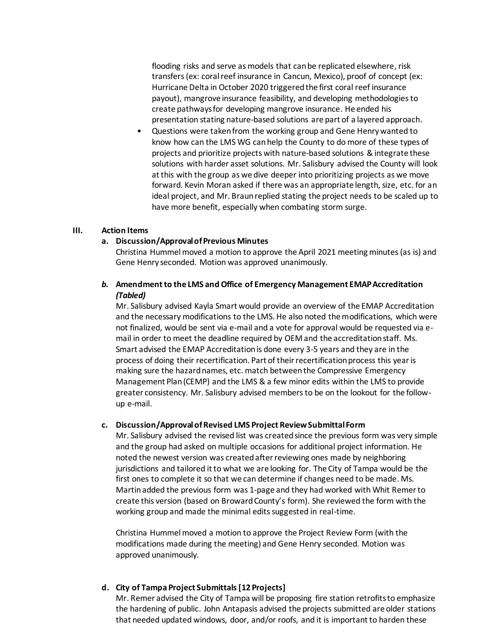flooding risks and serve as models that can be replicated elsewhere, risk transfers (ex: coral reef insurance in Cancun, Mexico), proof of concept (ex: Hurricane Delta in October 2020 triggered the first coral reef insurance payout), mangrove insurance feasibility, and developing methodologies to create pathways for developing mangrove insurance. He ended his presentation stating nature-based solutions are part of a layered approach.

• Questions were taken from the working group and Gene Henry wanted to know how can the LMS WG canhelp the County to do more of these types of projects and prioritize projects with nature-based solutions & integrate these solutions with harder asset solutions. Mr. Salisbury advised the County will look at this with the group as we dive deeper into prioritizing projects as we move forward. Kevin Moran asked if there was an appropriate length, size, etc. for an ideal project, and Mr. Braun replied stating the project needs to be scaled up to have more benefit, especially when combating storm surge.

#### **III. Action Items**

#### **a. Discussion/Approval of Previous Minutes**

Christina Hummelmoved a motion to approve the April 2021 meeting minutes (as is) and Gene Henry seconded. Motion was approved unanimously.

## *b.* **Amendment to the LMS and Office of Emergency Management EMAP Accreditation** *(Tabled)*

Mr. Salisbury advised Kayla Smart would provide an overview of the EMAP Accreditation and the necessary modifications to the LMS. He also noted the modifications, which were not finalized, would be sent via e-mail and a vote for approval would be requested via email in order to meet the deadline required by OEM and the accreditation staff. Ms. Smart advised the EMAP Accreditation is done every 3-5 years and they are in the process of doing their recertification. Part of their recertification process this year is making sure the hazard names, etc. match between the Compressive Emergency Management Plan (CEMP) and the LMS & a few minor edits within the LMS to provide greater consistency. Mr. Salisbury advised members to be on the lookout for the followup e-mail.

#### **c. Discussion/Approval of Revised LMS Project Review Submittal Form**

Mr. Salisbury advised the revised list was created since the previous form was very simple and the group had asked on multiple occasions for additional project information. He noted the newest version was created after reviewing ones made by neighboring jurisdictions and tailored it to what we are looking for. The City of Tampa would be the first ones to complete it so that we can determine if changes need to be made. Ms. Martinadded the previous form was 1-page and they had worked with Whit Remerto create this version (based on Broward County's form). She reviewed the form with the working group and made the minimal edits suggested in real-time.

Christina Hummelmoved a motion to approve the Project Review Form (with the modifications made during the meeting) and Gene Henry seconded. Motion was approved unanimously.

### **d. City of Tampa Project Submittals [12 Projects]**

Mr. Remer advised the City of Tampa will be proposing fire station retrofits to emphasize the hardening of public. John Antapasis advised the projects submitted are older stations that needed updated windows, door, and/or roofs, and it is important to harden these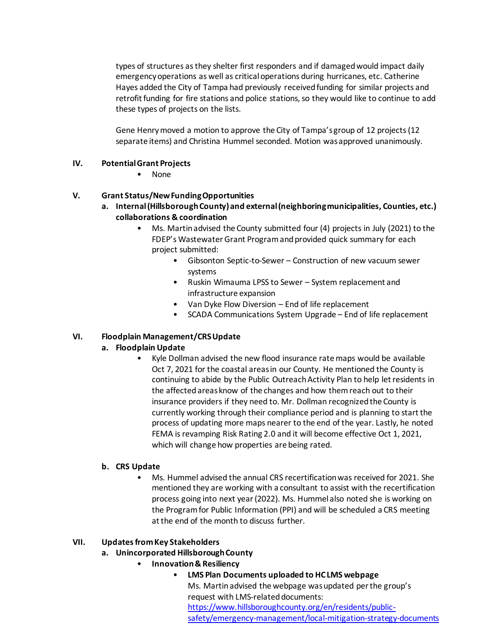types of structures as they shelter first responders and if damagedwould impact daily emergency operations as well as critical operations during hurricanes, etc. Catherine Hayes added the City of Tampa had previously received funding for similar projects and retrofit funding for fire stations and police stations, so they would like to continue to add these types of projects on the lists.

Gene Henry moved a motion to approve the City of Tampa's group of 12 projects (12 separate items) and Christina Hummel seconded. Motion was approved unanimously.

## **IV. Potential Grant Projects**

• None

## **V. Grant Status/New Funding Opportunities**

- **a. Internal (Hillsborough County) and external (neighboring municipalities, Counties, etc.) collaborations & coordination**
	- Ms. Martin advised the County submitted four (4) projects in July (2021) to the FDEP's Wastewater Grant Program and provided quick summary for each project submitted:
		- Gibsonton Septic-to-Sewer Construction of new vacuum sewer systems
		- Ruskin Wimauma LPSS to Sewer System replacement and infrastructure expansion
		- Van Dyke Flow Diversion End of life replacement
		- SCADA Communications System Upgrade End of life replacement

# **VI. Floodplain Management/CRS Update**

# **a. Floodplain Update**

• Kyle Dollman advised the new flood insurance rate maps would be available Oct 7, 2021 for the coastal areas in our County. He mentioned the County is continuing to abide by the Public Outreach Activity Plan to help let residents in the affectedareas know of the changes and how them reach out to their insurance providers if they need to. Mr. Dollman recognized the County is currently working through their compliance period and is planning to start the process of updating more maps nearer to the end of the year. Lastly, he noted FEMA is revamping Risk Rating 2.0 and it will become effective Oct 1, 2021, which will change how properties are being rated.

# **b. CRS Update**

• Ms. Hummel advised the annual CRS recertification was received for 2021. She mentioned they are working with a consultant to assist with the recertification process going into next year (2022). Ms. Hummel also noted she is working on the Program for Public Information (PPI) and will be scheduled a CRS meeting at the end of the month to discuss further.

### **VII. Updates from Key Stakeholders**

# **a. Unincorporated Hillsborough County**

- **Innovation & Resiliency**
	- **LMS Plan Documents uploaded to HC LMS webpage** Ms. Martinadvised the webpage was updated per the group's request with LMS-related documents: [https://www.hillsboroughcounty.org/en/residents/public](https://www.hillsboroughcounty.org/en/residents/public-safety/emergency-management/local-mitigation-strategy-documents)[safety/emergency-management/local-mitigation-strategy-documents](https://www.hillsboroughcounty.org/en/residents/public-safety/emergency-management/local-mitigation-strategy-documents)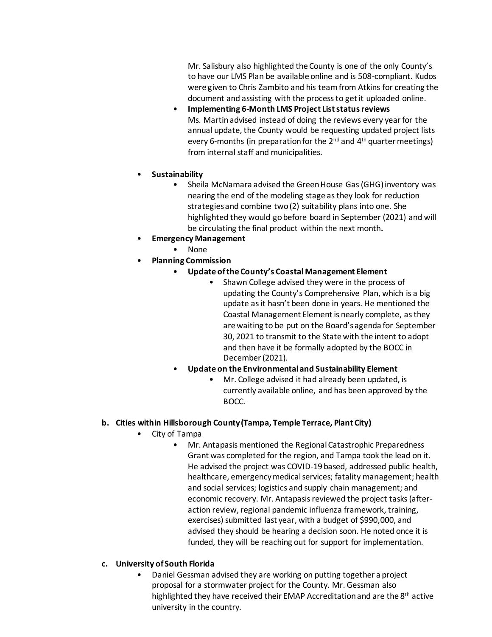Mr. Salisbury also highlighted the County is one of the only County's to have our LMS Plan be available online and is 508-compliant. Kudos were given to Chris Zambito and his team from Atkins for creating the document and assisting with the process to get it uploaded online.

- **Implementing 6-Month LMS Project List status reviews** Ms. Martinadvised instead of doing the reviews every year for the annual update, the County would be requesting updated project lists every 6-months (in preparation for the 2<sup>nd</sup> and 4<sup>th</sup> quarter meetings) from internal staff and municipalities.
- **Sustainability**
	- Sheila McNamara advised the Green House Gas (GHG) inventory was nearing the end of the modeling stage as they look for reduction strategies and combine two (2) suitability plans into one. She highlighted they would go before board in September (2021) and will be circulating the final product within the next month**.**
- **Emergency Management**
	- None
- **Planning Commission**
	- **Update of the County's Coastal Management Element**
		- Shawn College advised they were in the process of updating the County's Comprehensive Plan, which is a big update as it hasn't been done in years. He mentioned the Coastal Management Element is nearly complete, as they are waiting to be put on the Board's agenda for September 30, 2021 to transmit to the State with the intent to adopt and then have it be formally adopted by the BOCC in December (2021).
	- **Update on the Environmental and Sustainability Element**
		- Mr. College advised it had already been updated, is currently available online, and has been approved by the BOCC.

### **b. Cities within Hillsborough County (Tampa, Temple Terrace, Plant City)**

- City of Tampa
	- Mr. Antapasis mentioned the Regional Catastrophic Preparedness Grant was completed for the region, and Tampa took the lead on it. He advised the project was COVID-19 based, addressed public health, healthcare, emergency medical services; fatality management; health and social services; logistics and supply chain management; and economic recovery. Mr. Antapasis reviewed the project tasks (afteraction review, regional pandemic influenza framework, training, exercises) submitted last year, with a budget of \$990,000, and advised they should be hearing a decision soon. He noted once it is funded, they will be reaching out for support for implementation.

### **c. University of South Florida**

• Daniel Gessman advised they are working on putting together a project proposal for a stormwater project for the County. Mr. Gessman also highlighted they have received their EMAP Accreditation and are the 8<sup>th</sup> active university in the country.